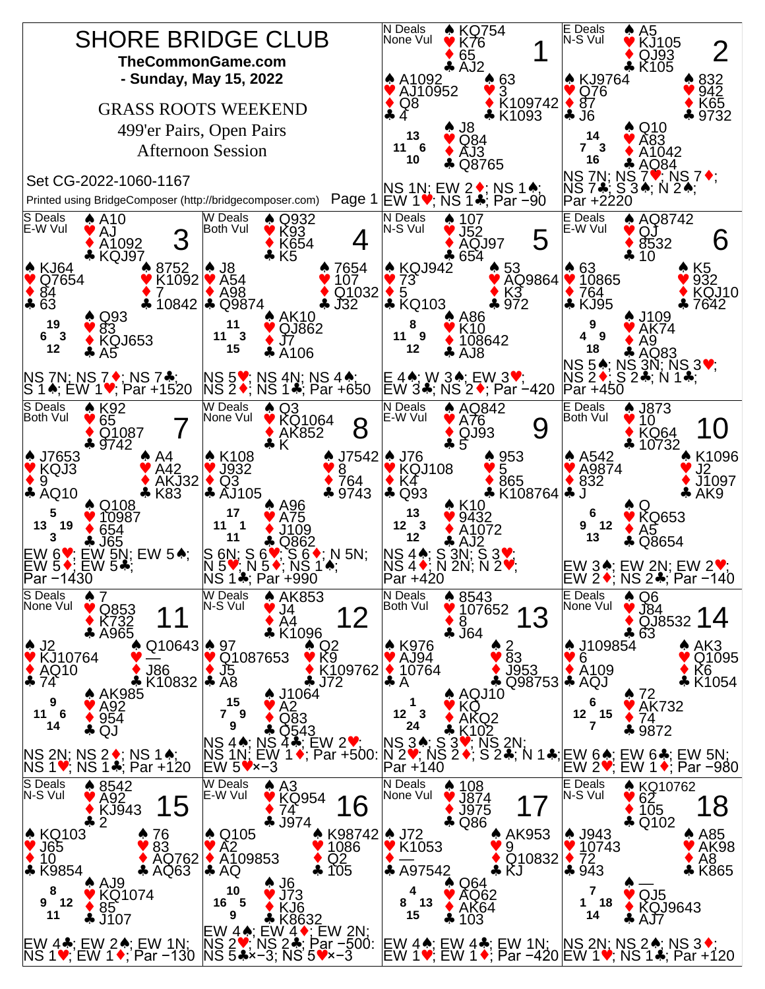